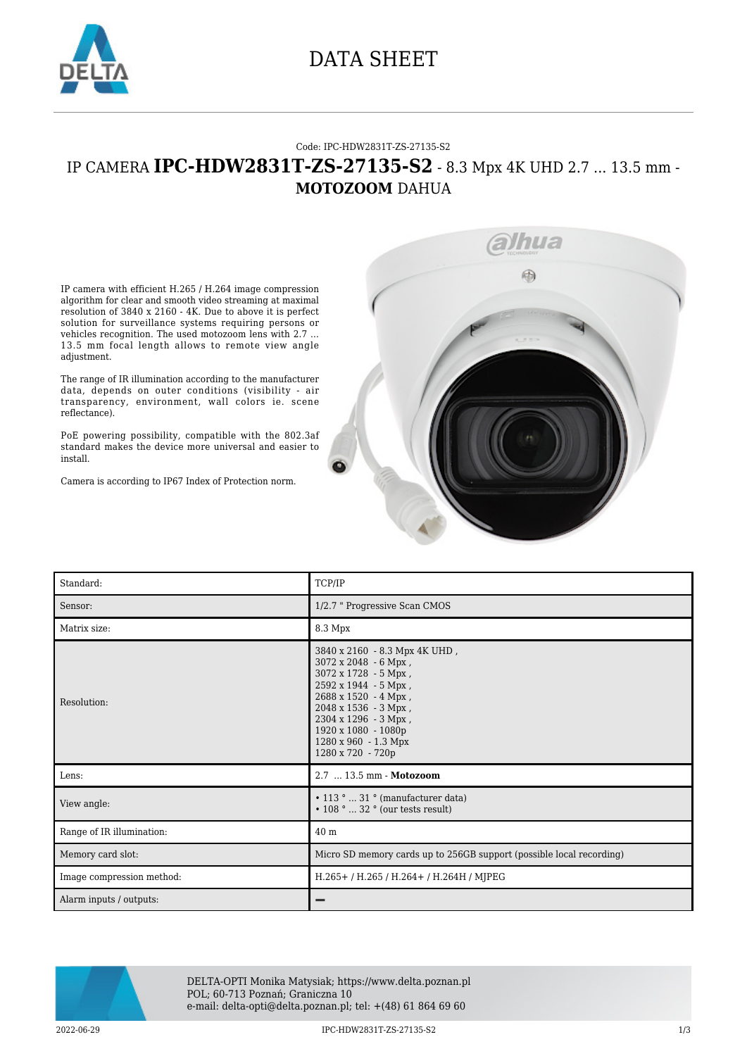

### DATA SHEET

#### Code: IPC-HDW2831T-ZS-27135-S2

### IP CAMERA **IPC-HDW2831T-ZS-27135-S2** - 8.3 Mpx 4K UHD 2.7 ... 13.5 mm - **MOTOZOOM** DAHUA

IP camera with efficient H.265 / H.264 image compression algorithm for clear and smooth video streaming at maximal resolution of 3840 x 2160 - 4K. Due to above it is perfect solution for surveillance systems requiring persons or vehicles recognition. The used motozoom lens with 2.7 ... 13.5 mm focal length allows to remote view angle adjustment.

The range of IR illumination according to the manufacturer data, depends on outer conditions (visibility - air transparency, environment, wall colors ie. scene reflectance).

PoE powering possibility, compatible with the 802.3af standard makes the device more universal and easier to install.

Camera is according to IP67 Index of Protection norm.



| Standard:                 | TCP/IP                                                                                                                                                                                                                                                   |
|---------------------------|----------------------------------------------------------------------------------------------------------------------------------------------------------------------------------------------------------------------------------------------------------|
| Sensor:                   | 1/2.7 " Progressive Scan CMOS                                                                                                                                                                                                                            |
| Matrix size:              | 8.3 Mpx                                                                                                                                                                                                                                                  |
| Resolution:               | 3840 x 2160 - 8.3 Mpx 4K UHD,<br>$3072 \times 2048 - 6$ Mpx,<br>3072 x 1728 - 5 Mpx,<br>2592 x 1944 - 5 Mpx,<br>2688 x 1520 - 4 Mpx,<br>2048 x 1536 - 3 Mpx,<br>2304 x 1296 - 3 Mpx,<br>1920 x 1080 - 1080p<br>1280 x 960 - 1.3 Mpx<br>1280 x 720 - 720p |
| Lens:                     | 2.7  13.5 mm - Motozoom                                                                                                                                                                                                                                  |
| View angle:               | $\cdot$ 113 °  31 ° (manufacturer data)<br>$\cdot$ 108 °  32 ° (our tests result)                                                                                                                                                                        |
| Range of IR illumination: | 40 <sub>m</sub>                                                                                                                                                                                                                                          |
| Memory card slot:         | Micro SD memory cards up to 256GB support (possible local recording)                                                                                                                                                                                     |
| Image compression method: | H.265+/H.265/H.264+/H.264H/MJPEG                                                                                                                                                                                                                         |
| Alarm inputs / outputs:   |                                                                                                                                                                                                                                                          |



DELTA-OPTI Monika Matysiak; https://www.delta.poznan.pl POL; 60-713 Poznań; Graniczna 10 e-mail: delta-opti@delta.poznan.pl; tel: +(48) 61 864 69 60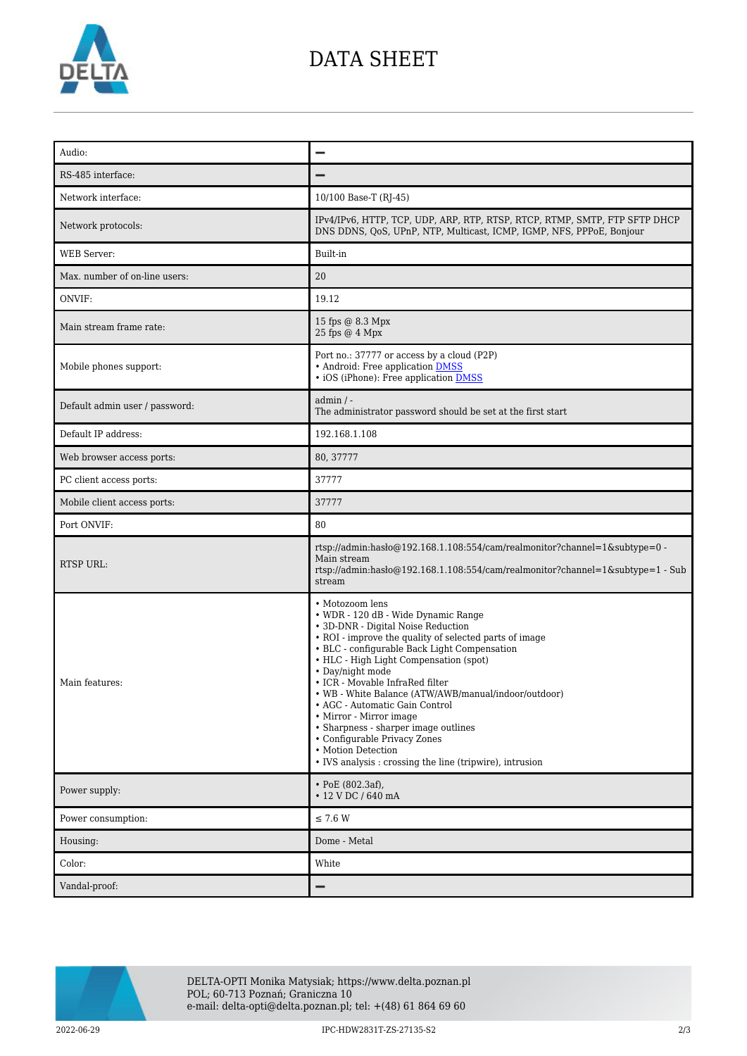

## DATA SHEET

| Audio:                         |                                                                                                                                                                                                                                                                                                                                                                                                                                                                                                                                                                                        |
|--------------------------------|----------------------------------------------------------------------------------------------------------------------------------------------------------------------------------------------------------------------------------------------------------------------------------------------------------------------------------------------------------------------------------------------------------------------------------------------------------------------------------------------------------------------------------------------------------------------------------------|
| RS-485 interface:              |                                                                                                                                                                                                                                                                                                                                                                                                                                                                                                                                                                                        |
| Network interface:             | 10/100 Base-T (RJ-45)                                                                                                                                                                                                                                                                                                                                                                                                                                                                                                                                                                  |
| Network protocols:             | IPv4/IPv6, HTTP, TCP, UDP, ARP, RTP, RTSP, RTCP, RTMP, SMTP, FTP SFTP DHCP<br>DNS DDNS, QoS, UPnP, NTP, Multicast, ICMP, IGMP, NFS, PPPoE, Bonjour                                                                                                                                                                                                                                                                                                                                                                                                                                     |
| WEB Server:                    | Built-in                                                                                                                                                                                                                                                                                                                                                                                                                                                                                                                                                                               |
| Max. number of on-line users:  | 20                                                                                                                                                                                                                                                                                                                                                                                                                                                                                                                                                                                     |
| ONVIF:                         | 19.12                                                                                                                                                                                                                                                                                                                                                                                                                                                                                                                                                                                  |
| Main stream frame rate:        | 15 fps @ 8.3 Mpx<br>25 fps @ 4 Mpx                                                                                                                                                                                                                                                                                                                                                                                                                                                                                                                                                     |
| Mobile phones support:         | Port no.: 37777 or access by a cloud (P2P)<br>• Android: Free application DMSS<br>• iOS (iPhone): Free application <b>DMSS</b>                                                                                                                                                                                                                                                                                                                                                                                                                                                         |
| Default admin user / password: | $admin / -$<br>The administrator password should be set at the first start                                                                                                                                                                                                                                                                                                                                                                                                                                                                                                             |
| Default IP address:            | 192.168.1.108                                                                                                                                                                                                                                                                                                                                                                                                                                                                                                                                                                          |
| Web browser access ports:      | 80, 37777                                                                                                                                                                                                                                                                                                                                                                                                                                                                                                                                                                              |
| PC client access ports:        | 37777                                                                                                                                                                                                                                                                                                                                                                                                                                                                                                                                                                                  |
| Mobile client access ports:    | 37777                                                                                                                                                                                                                                                                                                                                                                                                                                                                                                                                                                                  |
| Port ONVIF:                    | 80                                                                                                                                                                                                                                                                                                                                                                                                                                                                                                                                                                                     |
| RTSP URL:                      | rtsp://admin:hasło@192.168.1.108:554/cam/realmonitor?channel=1&subtype=0 -<br>Main stream<br>rtsp://admin:haslo $@192.168.1.108.554/cam/realmonitor?channel=1$ &subtype=1 - Sub<br>stream                                                                                                                                                                                                                                                                                                                                                                                              |
| Main features:                 | • Motozoom lens<br>• WDR - 120 dB - Wide Dynamic Range<br>• 3D-DNR - Digital Noise Reduction<br>• ROI - improve the quality of selected parts of image<br>• BLC - configurable Back Light Compensation<br>• HLC - High Light Compensation (spot)<br>• Day/night mode<br>• ICR - Movable InfraRed filter<br>• WB - White Balance (ATW/AWB/manual/indoor/outdoor)<br>• AGC - Automatic Gain Control<br>• Mirror - Mirror image<br>• Sharpness - sharper image outlines<br>• Configurable Privacy Zones<br>• Motion Detection<br>• IVS analysis : crossing the line (tripwire), intrusion |
| Power supply:                  | $\cdot$ PoE (802.3af),<br>• 12 V DC / 640 mA                                                                                                                                                                                                                                                                                                                                                                                                                                                                                                                                           |
| Power consumption:             | $\leq$ 7.6 W                                                                                                                                                                                                                                                                                                                                                                                                                                                                                                                                                                           |
| Housing:                       | Dome - Metal                                                                                                                                                                                                                                                                                                                                                                                                                                                                                                                                                                           |
| Color:                         | White                                                                                                                                                                                                                                                                                                                                                                                                                                                                                                                                                                                  |
| Vandal-proof:                  |                                                                                                                                                                                                                                                                                                                                                                                                                                                                                                                                                                                        |